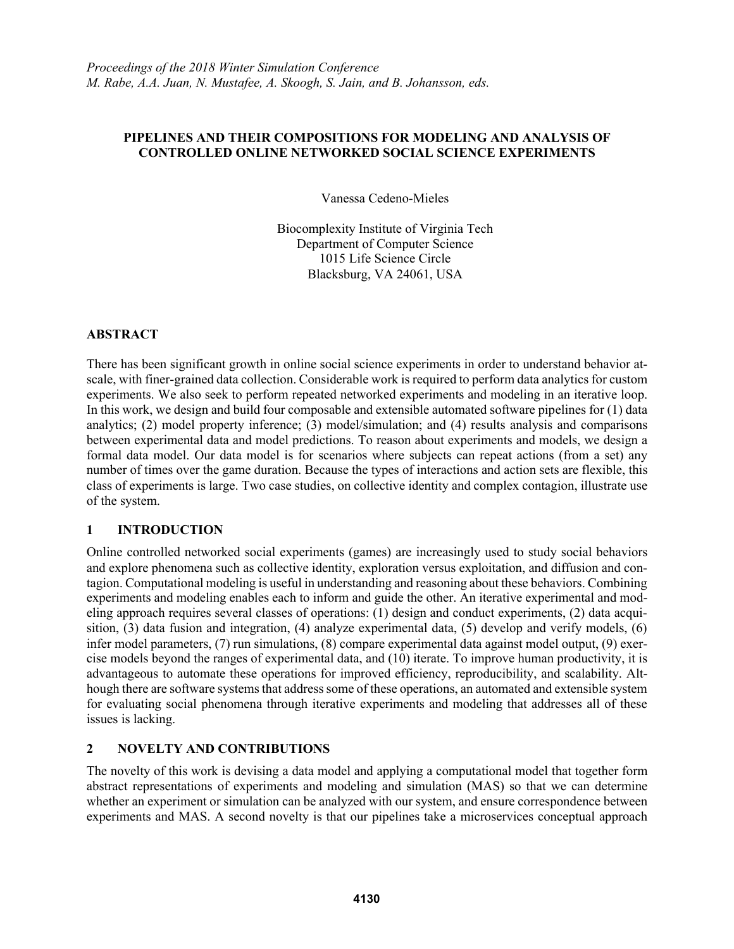## **PIPELINES AND THEIR COMPOSITIONS FOR MODELING AND ANALYSIS OF CONTROLLED ONLINE NETWORKED SOCIAL SCIENCE EXPERIMENTS**

Vanessa Cedeno-Mieles

Biocomplexity Institute of Virginia Tech Department of Computer Science 1015 Life Science Circle Blacksburg, VA 24061, USA

## **ABSTRACT**

There has been significant growth in online social science experiments in order to understand behavior atscale, with finer-grained data collection. Considerable work is required to perform data analytics for custom experiments. We also seek to perform repeated networked experiments and modeling in an iterative loop. In this work, we design and build four composable and extensible automated software pipelines for (1) data analytics; (2) model property inference; (3) model/simulation; and (4) results analysis and comparisons between experimental data and model predictions. To reason about experiments and models, we design a formal data model. Our data model is for scenarios where subjects can repeat actions (from a set) any number of times over the game duration. Because the types of interactions and action sets are flexible, this class of experiments is large. Two case studies, on collective identity and complex contagion, illustrate use of the system.

## **1 INTRODUCTION**

Online controlled networked social experiments (games) are increasingly used to study social behaviors and explore phenomena such as collective identity, exploration versus exploitation, and diffusion and contagion. Computational modeling is useful in understanding and reasoning about these behaviors. Combining experiments and modeling enables each to inform and guide the other. An iterative experimental and modeling approach requires several classes of operations: (1) design and conduct experiments, (2) data acquisition, (3) data fusion and integration, (4) analyze experimental data, (5) develop and verify models, (6) infer model parameters, (7) run simulations, (8) compare experimental data against model output, (9) exercise models beyond the ranges of experimental data, and (10) iterate. To improve human productivity, it is advantageous to automate these operations for improved efficiency, reproducibility, and scalability. Although there are software systems that address some of these operations, an automated and extensible system for evaluating social phenomena through iterative experiments and modeling that addresses all of these issues is lacking.

# **2 NOVELTY AND CONTRIBUTIONS**

The novelty of this work is devising a data model and applying a computational model that together form abstract representations of experiments and modeling and simulation (MAS) so that we can determine whether an experiment or simulation can be analyzed with our system, and ensure correspondence between experiments and MAS. A second novelty is that our pipelines take a microservices conceptual approach